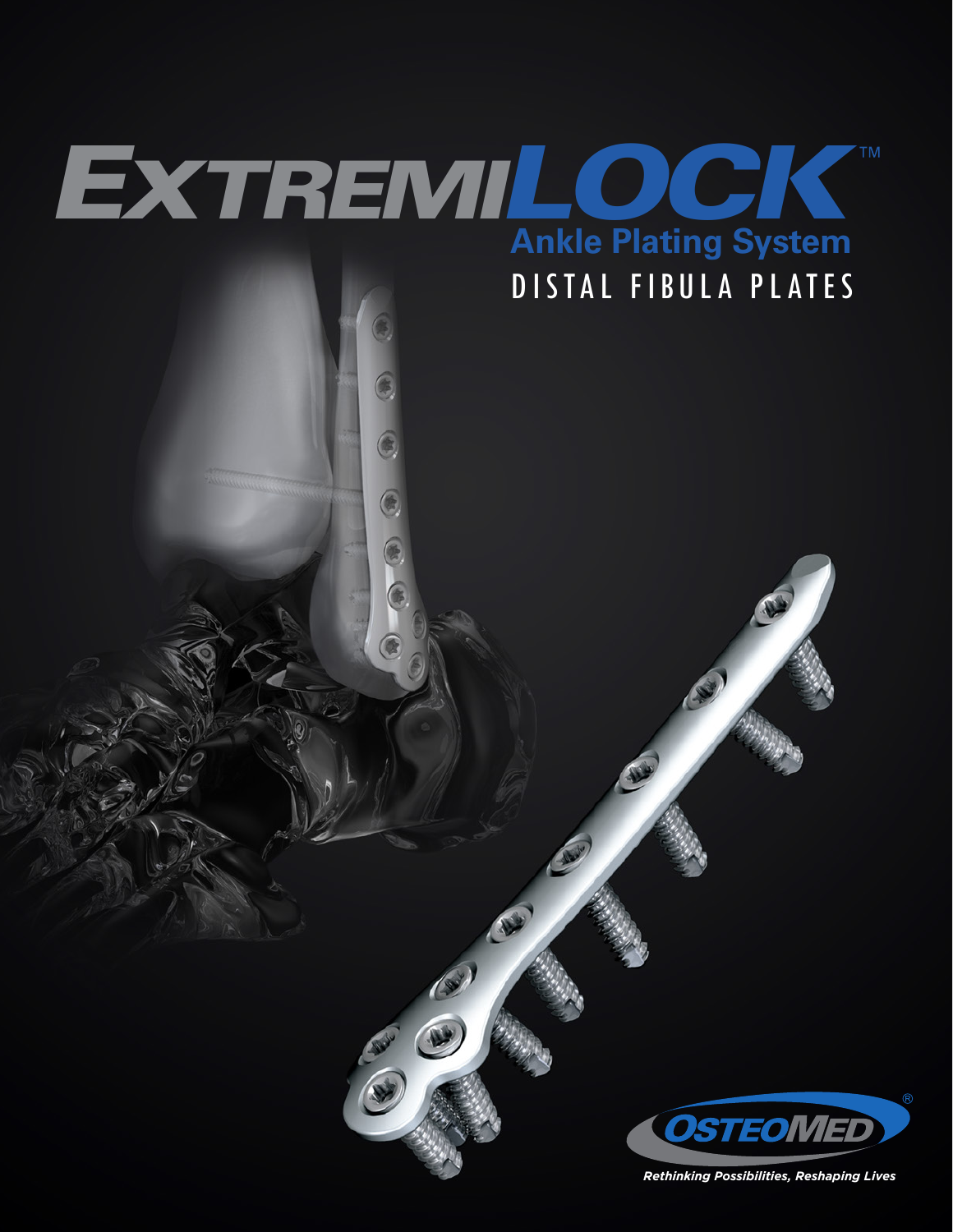



*Rethinking Possibilities, Reshaping Lives*